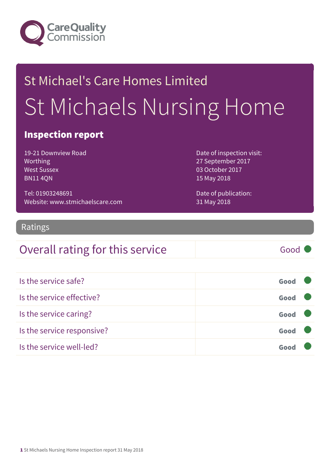

# St Michael's Care Homes Limited St Michaels Nursing Home

#### Inspection report

19-21 Downview Road Worthing West Sussex BN11 4QN

Tel: 01903248691 Website: www.stmichaelscare.com Date of inspection visit: 27 September 2017 03 October 2017 15 May 2018

Date of publication: 31 May 2018

#### **Ratings**

#### Overall rating for this service Good

| Is the service safe?       | Good |  |
|----------------------------|------|--|
| Is the service effective?  | Good |  |
| Is the service caring?     | Good |  |
| Is the service responsive? | Good |  |
| Is the service well-led?   | Goo  |  |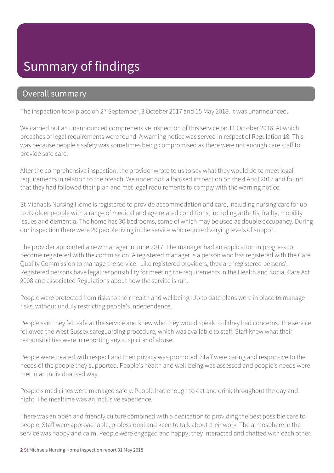#### Summary of findings

#### Overall summary

The inspection took place on 27 September, 3 October 2017 and 15 May 2018. It was unannounced.

We carried out an unannounced comprehensive inspection of this service on 11 October 2016. At which breaches of legal requirements were found. A warning notice was served in respect of Regulation 18. This was because people's safety was sometimes being compromised as there were not enough care staff to provide safe care.

After the comprehensive inspection, the provider wrote to us to say what they would do to meet legal requirements in relation to the breach. We undertook a focused inspection on the 4 April 2017 and found that they had followed their plan and met legal requirements to comply with the warning notice.

St Michaels Nursing Home is registered to provide accommodation and care, including nursing care for up to 39 older people with a range of medical and age related conditions, including arthritis, frailty, mobility issues and dementia. The home has 30 bedrooms, some of which may be used as double occupancy. During our inspection there were 29 people living in the service who required varying levels of support.

The provider appointed a new manager in June 2017. The manager had an application in progress to become registered with the commission. A registered manager is a person who has registered with the Care Quality Commission to manage the service. Like registered providers, they are 'registered persons'. Registered persons have legal responsibility for meeting the requirements in the Health and Social Care Act 2008 and associated Regulations about how the service is run.

People were protected from risks to their health and wellbeing. Up to date plans were in place to manage risks, without unduly restricting people's independence.

People said they felt safe at the service and knew who they would speak to if they had concerns. The service followed the West Sussex safeguarding procedure, which was available to staff. Staff knew what their responsibilities were in reporting any suspicion of abuse.

People were treated with respect and their privacy was promoted. Staff were caring and responsive to the needs of the people they supported. People's health and well-being was assessed and people's needs were met in an individualised way.

People's medicines were managed safely. People had enough to eat and drink throughout the day and night. The mealtime was an inclusive experience.

There was an open and friendly culture combined with a dedication to providing the best possible care to people. Staff were approachable, professional and keen to talk about their work. The atmosphere in the service was happy and calm. People were engaged and happy; they interacted and chatted with each other.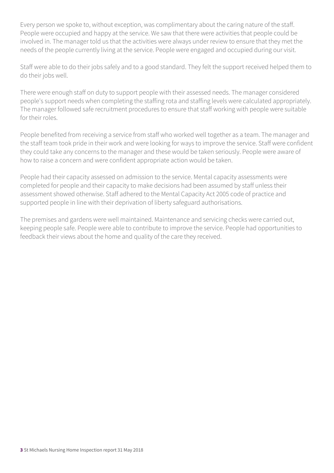Every person we spoke to, without exception, was complimentary about the caring nature of the staff. People were occupied and happy at the service. We saw that there were activities that people could be involved in. The manager told us that the activities were always under review to ensure that they met the needs of the people currently living at the service. People were engaged and occupied during our visit.

Staff were able to do their jobs safely and to a good standard. They felt the support received helped them to do their jobs well.

There were enough staff on duty to support people with their assessed needs. The manager considered people's support needs when completing the staffing rota and staffing levels were calculated appropriately. The manager followed safe recruitment procedures to ensure that staff working with people were suitable for their roles.

People benefited from receiving a service from staff who worked well together as a team. The manager and the staff team took pride in their work and were looking for ways to improve the service. Staff were confident they could take any concerns to the manager and these would be taken seriously. People were aware of how to raise a concern and were confident appropriate action would be taken.

People had their capacity assessed on admission to the service. Mental capacity assessments were completed for people and their capacity to make decisions had been assumed by staff unless their assessment showed otherwise. Staff adhered to the Mental Capacity Act 2005 code of practice and supported people in line with their deprivation of liberty safeguard authorisations.

The premises and gardens were well maintained. Maintenance and servicing checks were carried out, keeping people safe. People were able to contribute to improve the service. People had opportunities to feedback their views about the home and quality of the care they received.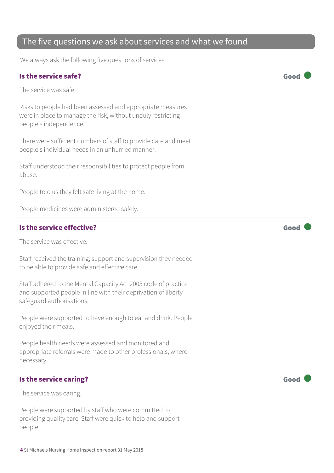#### The five questions we ask about services and what we found

We always ask the following five questions of services.

#### Is the service safe? Good The service was safe Risks to people had been assessed and appropriate measures were in place to manage the risk, without unduly restricting people's independence. There were sufficient numbers of staff to provide care and meet people's individual needs in an unhurried manner. Staff understood their responsibilities to protect people from abuse. People told us they felt safe living at the home. People medicines were administered safely. Is the service effective? The service effective? The service was effective. Staff received the training, support and supervision they needed to be able to provide safe and effective care. Staff adhered to the Mental Capacity Act 2005 code of practice and supported people in line with their deprivation of liberty safeguard authorisations. People were supported to have enough to eat and drink. People enjoyed their meals. People health needs were assessed and monitored and appropriate referrals were made to other professionals, where necessary. Is the service caring? The service caring of the service care  $\sim$  Good The service was caring.

People were supported by staff who were committed to providing quality care. Staff were quick to help and support people.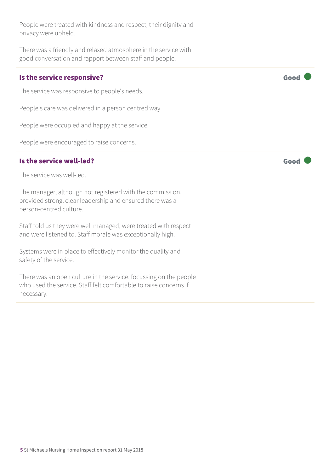| People were treated with kindness and respect; their dignity and<br>privacy were upheld.                                                          |      |
|---------------------------------------------------------------------------------------------------------------------------------------------------|------|
| There was a friendly and relaxed atmosphere in the service with<br>good conversation and rapport between staff and people.                        |      |
| Is the service responsive?                                                                                                                        | Good |
| The service was responsive to people's needs.                                                                                                     |      |
| People's care was delivered in a person centred way.                                                                                              |      |
| People were occupied and happy at the service.                                                                                                    |      |
| People were encouraged to raise concerns.                                                                                                         |      |
| Is the service well-led?                                                                                                                          | Good |
|                                                                                                                                                   |      |
| The service was well-led.                                                                                                                         |      |
| The manager, although not registered with the commission,<br>provided strong, clear leadership and ensured there was a<br>person-centred culture. |      |
| Staff told us they were well managed, were treated with respect<br>and were listened to. Staff morale was exceptionally high.                     |      |
| Systems were in place to effectively monitor the quality and<br>safety of the service.                                                            |      |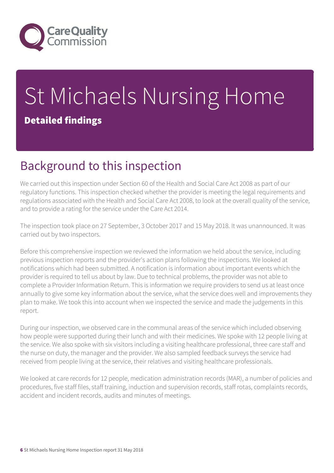

# St Michaels Nursing Home Detailed findings

## Background to this inspection

We carried out this inspection under Section 60 of the Health and Social Care Act 2008 as part of our regulatory functions. This inspection checked whether the provider is meeting the legal requirements and regulations associated with the Health and Social Care Act 2008, to look at the overall quality of the service, and to provide a rating for the service under the Care Act 2014.

The inspection took place on 27 September, 3 October 2017 and 15 May 2018. It was unannounced. It was carried out by two inspectors.

Before this comprehensive inspection we reviewed the information we held about the service, including previous inspection reports and the provider's action plans following the inspections. We looked at notifications which had been submitted. A notification is information about important events which the provider is required to tell us about by law. Due to technical problems, the provider was not able to complete a Provider Information Return. This is information we require providers to send us at least once annually to give some key information about the service, what the service does well and improvements they plan to make. We took this into account when we inspected the service and made the judgements in this report.

During our inspection, we observed care in the communal areas of the service which included observing how people were supported during their lunch and with their medicines. We spoke with 12 people living at the service. We also spoke with six visitors including a visiting healthcare professional, three care staff and the nurse on duty, the manager and the provider. We also sampled feedback surveys the service had received from people living at the service, their relatives and visiting healthcare professionals.

We looked at care records for 12 people, medication administration records (MAR), a number of policies and procedures, five staff files, staff training, induction and supervision records, staff rotas, complaints records, accident and incident records, audits and minutes of meetings.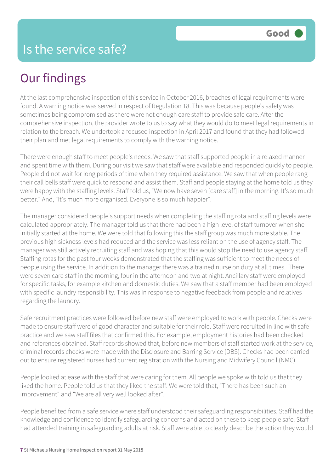## Our findings

At the last comprehensive inspection of this service in October 2016, breaches of legal requirements were found. A warning notice was served in respect of Regulation 18. This was because people's safety was sometimes being compromised as there were not enough care staff to provide safe care. After the comprehensive inspection, the provider wrote to us to say what they would do to meet legal requirements in relation to the breach. We undertook a focused inspection in April 2017 and found that they had followed their plan and met legal requirements to comply with the warning notice.

There were enough staff to meet people's needs. We saw that staff supported people in a relaxed manner and spent time with them. During our visit we saw that staff were available and responded quickly to people. People did not wait for long periods of time when they required assistance. We saw that when people rang their call bells staff were quick to respond and assist them. Staff and people staying at the home told us they were happy with the staffing levels. Staff told us, "We now have seven [care staff] in the morning. It's so much better." And, "It's much more organised. Everyone is so much happier".

The manager considered people's support needs when completing the staffing rota and staffing levels were calculated appropriately. The manager told us that there had been a high level of staff turnover when she initially started at the home. We were told that following this the staff group was much more stable. The previous high sickness levels had reduced and the service was less reliant on the use of agency staff. The manager was still actively recruiting staff and was hoping that this would stop the need to use agency staff. Staffing rotas for the past four weeks demonstrated that the staffing was sufficient to meet the needs of people using the service. In addition to the manager there was a trained nurse on duty at all times. There were seven care staff in the morning, four in the afternoon and two at night. Ancillary staff were employed for specific tasks, for example kitchen and domestic duties. We saw that a staff member had been employed with specific laundry responsibility. This was in response to negative feedback from people and relatives regarding the laundry.

Safe recruitment practices were followed before new staff were employed to work with people. Checks were made to ensure staff were of good character and suitable for their role. Staff were recruited in line with safe practice and we saw staff files that confirmed this. For example, employment histories had been checked and references obtained. Staff records showed that, before new members of staff started work at the service, criminal records checks were made with the Disclosure and Barring Service (DBS). Checks had been carried out to ensure registered nurses had current registration with the Nursing and Midwifery Council (NMC).

People looked at ease with the staff that were caring for them. All people we spoke with told us that they liked the home. People told us that they liked the staff. We were told that, "There has been such an improvement" and "We are all very well looked after".

People benefited from a safe service where staff understood their safeguarding responsibilities. Staff had the knowledge and confidence to identify safeguarding concerns and acted on these to keep people safe. Staff had attended training in safeguarding adults at risk. Staff were able to clearly describe the action they would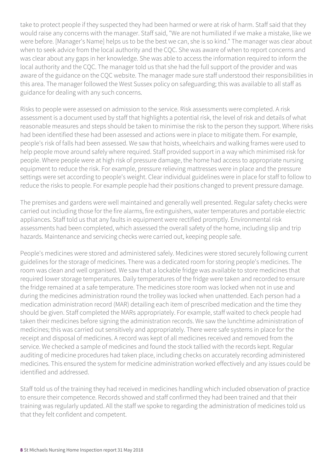take to protect people if they suspected they had been harmed or were at risk of harm. Staff said that they would raise any concerns with the manager. Staff said, "We are not humiliated if we make a mistake, like we were before. [Manager's Name] helps us to be the best we can, she is so kind." The manager was clear about when to seek advice from the local authority and the CQC. She was aware of when to report concerns and was clear about any gaps in her knowledge. She was able to access the information required to inform the local authority and the CQC. The manager told us that she had the full support of the provider and was aware of the guidance on the CQC website. The manager made sure staff understood their responsibilities in this area. The manager followed the West Sussex policy on safeguarding; this was available to all staff as guidance for dealing with any such concerns.

Risks to people were assessed on admission to the service. Risk assessments were completed. A risk assessment is a document used by staff that highlights a potential risk, the level of risk and details of what reasonable measures and steps should be taken to minimise the risk to the person they support. Where risks had been identified these had been assessed and actions were in place to mitigate them. For example, people's risk of falls had been assessed. We saw that hoists, wheelchairs and walking frames were used to help people move around safely where required. Staff provided support in a way which minimised risk for people. Where people were at high risk of pressure damage, the home had access to appropriate nursing equipment to reduce the risk. For example, pressure relieving mattresses were in place and the pressure settings were set according to people's weight. Clear individual guidelines were in place for staff to follow to reduce the risks to people. For example people had their positions changed to prevent pressure damage.

The premises and gardens were well maintained and generally well presented. Regular safety checks were carried out including those for the fire alarms, fire extinguishers, water temperatures and portable electric appliances. Staff told us that any faults in equipment were rectified promptly. Environmental risk assessments had been completed, which assessed the overall safety of the home, including slip and trip hazards. Maintenance and servicing checks were carried out, keeping people safe.

People's medicines were stored and administered safely. Medicines were stored securely following current guidelines for the storage of medicines. There was a dedicated room for storing people's medicines. The room was clean and well organised. We saw that a lockable fridge was available to store medicines that required lower storage temperatures. Daily temperatures of the fridge were taken and recorded to ensure the fridge remained at a safe temperature. The medicines store room was locked when not in use and during the medicines administration round the trolley was locked when unattended. Each person had a medication administration record (MAR) detailing each item of prescribed medication and the time they should be given. Staff completed the MARs appropriately. For example, staff waited to check people had taken their medicines before signing the administration records. We saw the lunchtime administration of medicines; this was carried out sensitively and appropriately. There were safe systems in place for the receipt and disposal of medicines. A record was kept of all medicines received and removed from the service. We checked a sample of medicines and found the stock tallied with the records kept. Regular auditing of medicine procedures had taken place, including checks on accurately recording administered medicines. This ensured the system for medicine administration worked effectively and any issues could be identified and addressed.

Staff told us of the training they had received in medicines handling which included observation of practice to ensure their competence. Records showed and staff confirmed they had been trained and that their training was regularly updated. All the staff we spoke to regarding the administration of medicines told us that they felt confident and competent.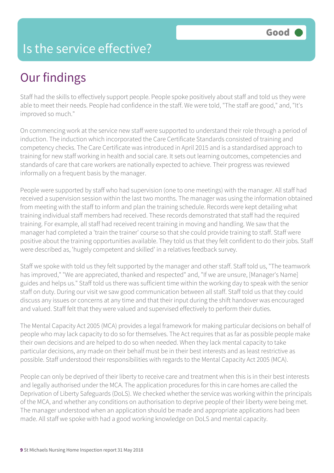#### Is the service effective?

## Our findings

Staff had the skills to effectively support people. People spoke positively about staff and told us they were able to meet their needs. People had confidence in the staff. We were told, "The staff are good," and, "It's improved so much."

On commencing work at the service new staff were supported to understand their role through a period of induction. The induction which incorporated the Care Certificate Standards consisted of training and competency checks. The Care Certificate was introduced in April 2015 and is a standardised approach to training for new staff working in health and social care. It sets out learning outcomes, competencies and standards of care that care workers are nationally expected to achieve. Their progress was reviewed informally on a frequent basis by the manager.

People were supported by staff who had supervision (one to one meetings) with the manager. All staff had received a supervision session within the last two months. The manager was using the information obtained from meeting with the staff to inform and plan the training schedule. Records were kept detailing what training individual staff members had received. These records demonstrated that staff had the required training. For example, all staff had received recent training in moving and handling. We saw that the manager had completed a 'train the trainer' course so that she could provide training to staff. Staff were positive about the training opportunities available. They told us that they felt confident to do their jobs. Staff were described as, 'hugely competent and skilled' in a relatives feedback survey.

Staff we spoke with told us they felt supported by the manager and other staff. Staff told us, "The teamwork has improved," "We are appreciated, thanked and respected" and, "If we are unsure, [Manager's Name] guides and helps us." Staff told us there was sufficient time within the working day to speak with the senior staff on duty. During our visit we saw good communication between all staff. Staff told us that they could discuss any issues or concerns at any time and that their input during the shift handover was encouraged and valued. Staff felt that they were valued and supervised effectively to perform their duties.

The Mental Capacity Act 2005 (MCA) provides a legal framework for making particular decisions on behalf of people who may lack capacity to do so for themselves. The Act requires that as far as possible people make their own decisions and are helped to do so when needed. When they lack mental capacity to take particular decisions, any made on their behalf must be in their best interests and as least restrictive as possible. Staff understood their responsibilities with regards to the Mental Capacity Act 2005 (MCA).

People can only be deprived of their liberty to receive care and treatment when this is in their best interests and legally authorised under the MCA. The application procedures for this in care homes are called the Deprivation of Liberty Safeguards (DoLS). We checked whether the service was working within the principals of the MCA, and whether any conditions on authorisation to deprive people of their liberty were being met. The manager understood when an application should be made and appropriate applications had been made. All staff we spoke with had a good working knowledge on DoLS and mental capacity.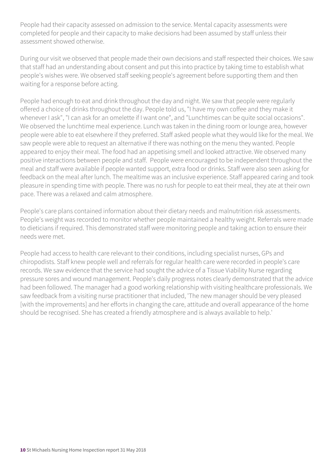People had their capacity assessed on admission to the service. Mental capacity assessments were completed for people and their capacity to make decisions had been assumed by staff unless their assessment showed otherwise.

During our visit we observed that people made their own decisions and staff respected their choices. We saw that staff had an understanding about consent and put this into practice by taking time to establish what people's wishes were. We observed staff seeking people's agreement before supporting them and then waiting for a response before acting.

People had enough to eat and drink throughout the day and night. We saw that people were regularly offered a choice of drinks throughout the day. People told us, "I have my own coffee and they make it whenever I ask", "I can ask for an omelette if I want one", and "Lunchtimes can be quite social occasions". We observed the lunchtime meal experience. Lunch was taken in the dining room or lounge area, however people were able to eat elsewhere if they preferred. Staff asked people what they would like for the meal. We saw people were able to request an alternative if there was nothing on the menu they wanted. People appeared to enjoy their meal. The food had an appetising smell and looked attractive. We observed many positive interactions between people and staff. People were encouraged to be independent throughout the meal and staff were available if people wanted support, extra food or drinks. Staff were also seen asking for feedback on the meal after lunch. The mealtime was an inclusive experience. Staff appeared caring and took pleasure in spending time with people. There was no rush for people to eat their meal, they ate at their own pace. There was a relaxed and calm atmosphere.

People's care plans contained information about their dietary needs and malnutrition risk assessments. People's weight was recorded to monitor whether people maintained a healthy weight. Referrals were made to dieticians if required. This demonstrated staff were monitoring people and taking action to ensure their needs were met.

People had access to health care relevant to their conditions, including specialist nurses, GPs and chiropodists. Staff knew people well and referrals for regular health care were recorded in people's care records. We saw evidence that the service had sought the advice of a Tissue Viability Nurse regarding pressure sores and wound management. People's daily progress notes clearly demonstrated that the advice had been followed. The manager had a good working relationship with visiting healthcare professionals. We saw feedback from a visiting nurse practitioner that included, 'The new manager should be very pleased [with the improvements] and her efforts in changing the care, attitude and overall appearance of the home should be recognised. She has created a friendly atmosphere and is always available to help.'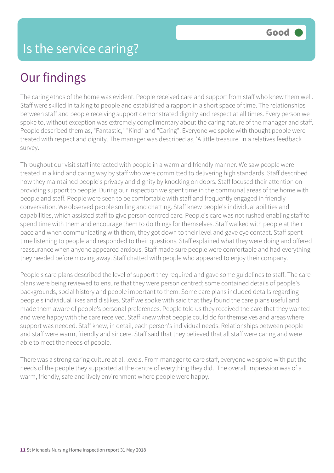## Our findings

The caring ethos of the home was evident. People received care and support from staff who knew them well. Staff were skilled in talking to people and established a rapport in a short space of time. The relationships between staff and people receiving support demonstrated dignity and respect at all times. Every person we spoke to, without exception was extremely complimentary about the caring nature of the manager and staff. People described them as, "Fantastic," "Kind" and "Caring". Everyone we spoke with thought people were treated with respect and dignity. The manager was described as, 'A little treasure' in a relatives feedback survey.

Throughout our visit staff interacted with people in a warm and friendly manner. We saw people were treated in a kind and caring way by staff who were committed to delivering high standards. Staff described how they maintained people's privacy and dignity by knocking on doors. Staff focused their attention on providing support to people. During our inspection we spent time in the communal areas of the home with people and staff. People were seen to be comfortable with staff and frequently engaged in friendly conversation. We observed people smiling and chatting. Staff knew people's individual abilities and capabilities, which assisted staff to give person centred care. People's care was not rushed enabling staff to spend time with them and encourage them to do things for themselves. Staff walked with people at their pace and when communicating with them, they got down to their level and gave eye contact. Staff spent time listening to people and responded to their questions. Staff explained what they were doing and offered reassurance when anyone appeared anxious. Staff made sure people were comfortable and had everything they needed before moving away. Staff chatted with people who appeared to enjoy their company.

People's care plans described the level of support they required and gave some guidelines to staff. The care plans were being reviewed to ensure that they were person centred; some contained details of people's backgrounds, social history and people important to them. Some care plans included details regarding people's individual likes and dislikes. Staff we spoke with said that they found the care plans useful and made them aware of people's personal preferences. People told us they received the care that they wanted and were happy with the care received. Staff knew what people could do for themselves and areas where support was needed. Staff knew, in detail, each person's individual needs. Relationships between people and staff were warm, friendly and sincere. Staff said that they believed that all staff were caring and were able to meet the needs of people.

There was a strong caring culture at all levels. From manager to care staff, everyone we spoke with put the needs of the people they supported at the centre of everything they did. The overall impression was of a warm, friendly, safe and lively environment where people were happy.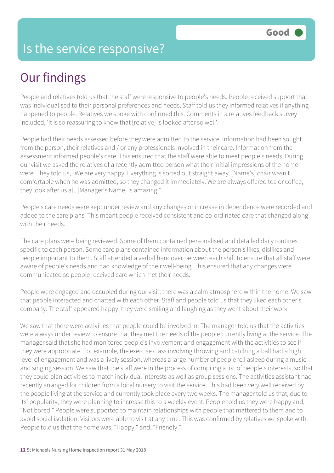#### Is the service responsive?

## Our findings

People and relatives told us that the staff were responsive to people's needs. People received support that was individualised to their personal preferences and needs. Staff told us they informed relatives if anything happened to people. Relatives we spoke with confirmed this. Comments in a relatives feedback survey included, 'It is so reassuring to know that [relative] is looked after so well'.

People had their needs assessed before they were admitted to the service. Information had been sought from the person, their relatives and / or any professionals involved in their care. Information from the assessment informed people's care. This ensured that the staff were able to meet people's needs. During our visit we asked the relatives of a recently admitted person what their initial impressions of the home were. They told us, "We are very happy. Everything is sorted out straight away. [Name's] chair wasn't comfortable when he was admitted, so they changed it immediately. We are always offered tea or coffee, they look after us all. [Manager's Name] is amazing."

People's care needs were kept under review and any changes or increase in dependence were recorded and added to the care plans. This meant people received consistent and co-ordinated care that changed along with their needs.

The care plans were being reviewed. Some of them contained personalised and detailed daily routines specific to each person. Some care plans contained information about the person's likes, dislikes and people important to them. Staff attended a verbal handover between each shift to ensure that all staff were aware of people's needs and had knowledge of their well-being. This ensured that any changes were communicated so people received care which met their needs.

People were engaged and occupied during our visit; there was a calm atmosphere within the home. We saw that people interacted and chatted with each other. Staff and people told us that they liked each other's company. The staff appeared happy; they were smiling and laughing as they went about their work.

We saw that there were activities that people could be involved in. The manager told us that the activities were always under review to ensure that they met the needs of the people currently living at the service. The manager said that she had monitored people's involvement and engagement with the activities to see if they were appropriate. For example, the exercise class involving throwing and catching a ball had a high level of engagement and was a lively session, whereas a large number of people fell asleep during a music and singing session. We saw that the staff were in the process of compiling a list of people's interests, so that they could plan activities to match individual interests as well as group sessions. The activities assistant had recently arranged for children from a local nursery to visit the service. This had been very well received by the people living at the service and currently took place every two weeks. The manager told us that, due to its' popularity, they were planning to increase this to a weekly event. People told us they were happy and, "Not bored." People were supported to maintain relationships with people that mattered to them and to avoid social isolation. Visitors were able to visit at any time. This was confirmed by relatives we spoke with. People told us that the home was, "Happy," and, "Friendly."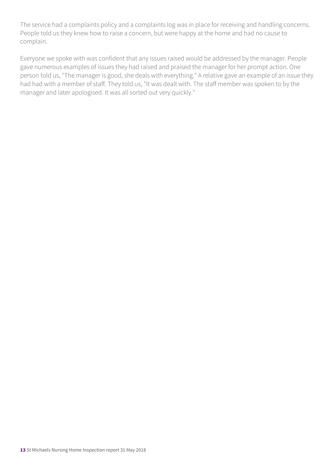The service had a complaints policy and a complaints log was in place for receiving and handling concerns. People told us they knew how to raise a concern, but were happy at the home and had no cause to complain.

Everyone we spoke with was confident that any issues raised would be addressed by the manager. People gave numerous examples of issues they had raised and praised the manager for her prompt action. One person told us, "The manager is good, she deals with everything." A relative gave an example of an issue they had had with a member of staff. They told us, "It was dealt with. The staff member was spoken to by the manager and later apologised. It was all sorted out very quickly."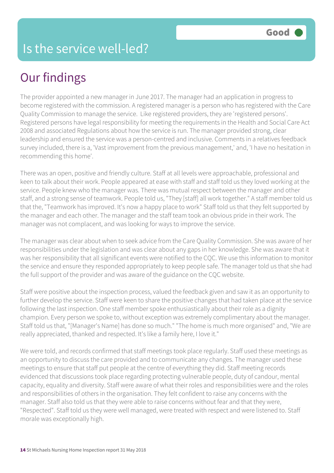## Our findings

The provider appointed a new manager in June 2017. The manager had an application in progress to become registered with the commission. A registered manager is a person who has registered with the Care Quality Commission to manage the service. Like registered providers, they are 'registered persons'. Registered persons have legal responsibility for meeting the requirements in the Health and Social Care Act 2008 and associated Regulations about how the service is run. The manager provided strong, clear leadership and ensured the service was a person-centred and inclusive. Comments in a relatives feedback survey included, there is a, 'Vast improvement from the previous management,' and, 'I have no hesitation in recommending this home'.

There was an open, positive and friendly culture. Staff at all levels were approachable, professional and keen to talk about their work. People appeared at ease with staff and staff told us they loved working at the service. People knew who the manager was. There was mutual respect between the manager and other staff, and a strong sense of teamwork. People told us, "They [staff] all work together." A staff member told us that the, "Teamwork has improved. It's now a happy place to work" Staff told us that they felt supported by the manager and each other. The manager and the staff team took an obvious pride in their work. The manager was not complacent, and was looking for ways to improve the service.

The manager was clear about when to seek advice from the Care Quality Commission. She was aware of her responsibilities under the legislation and was clear about any gaps in her knowledge. She was aware that it was her responsibility that all significant events were notified to the CQC. We use this information to monitor the service and ensure they responded appropriately to keep people safe. The manager told us that she had the full support of the provider and was aware of the guidance on the CQC website.

Staff were positive about the inspection process, valued the feedback given and saw it as an opportunity to further develop the service. Staff were keen to share the positive changes that had taken place at the service following the last inspection. One staff member spoke enthusiastically about their role as a dignity champion. Every person we spoke to, without exception was extremely complimentary about the manager. Staff told us that, "[Manager's Name] has done so much." "The home is much more organised" and, "We are really appreciated, thanked and respected. It's like a family here, I love it."

We were told, and records confirmed that staff meetings took place regularly. Staff used these meetings as an opportunity to discuss the care provided and to communicate any changes. The manager used these meetings to ensure that staff put people at the centre of everything they did. Staff meeting records evidenced that discussions took place regarding protecting vulnerable people, duty of candour, mental capacity, equality and diversity. Staff were aware of what their roles and responsibilities were and the roles and responsibilities of others in the organisation. They felt confident to raise any concerns with the manager. Staff also told us that they were able to raise concerns without fear and that they were, "Respected". Staff told us they were well managed, were treated with respect and were listened to. Staff morale was exceptionally high.